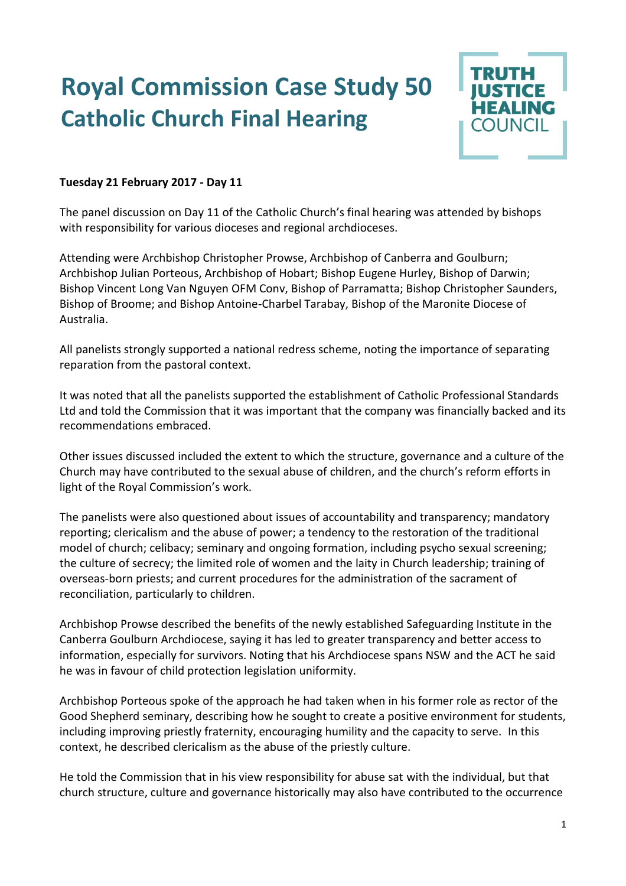## **Royal Commission Case Study 50 Catholic Church Final Hearing**



## **Tuesday 21 February 2017 - Day 11**

The panel discussion on Day 11 of the Catholic Church's final hearing was attended by bishops with responsibility for various dioceses and regional archdioceses.

Attending were Archbishop Christopher Prowse, Archbishop of Canberra and Goulburn; Archbishop Julian Porteous, Archbishop of Hobart; Bishop Eugene Hurley, Bishop of Darwin; Bishop Vincent Long Van Nguyen OFM Conv, Bishop of Parramatta; Bishop Christopher Saunders, Bishop of Broome; and Bishop Antoine-Charbel Tarabay, Bishop of the Maronite Diocese of Australia.

All panelists strongly supported a national redress scheme, noting the importance of separating reparation from the pastoral context.

It was noted that all the panelists supported the establishment of Catholic Professional Standards Ltd and told the Commission that it was important that the company was financially backed and its recommendations embraced.

Other issues discussed included the extent to which the structure, governance and a culture of the Church may have contributed to the sexual abuse of children, and the church's reform efforts in light of the Royal Commission's work.

The panelists were also questioned about issues of accountability and transparency; mandatory reporting; clericalism and the abuse of power; a tendency to the restoration of the traditional model of church; celibacy; seminary and ongoing formation, including psycho sexual screening; the culture of secrecy; the limited role of women and the laity in Church leadership; training of overseas-born priests; and current procedures for the administration of the sacrament of reconciliation, particularly to children.

Archbishop Prowse described the benefits of the newly established Safeguarding Institute in the Canberra Goulburn Archdiocese, saying it has led to greater transparency and better access to information, especially for survivors. Noting that his Archdiocese spans NSW and the ACT he said he was in favour of child protection legislation uniformity.

Archbishop Porteous spoke of the approach he had taken when in his former role as rector of the Good Shepherd seminary, describing how he sought to create a positive environment for students, including improving priestly fraternity, encouraging humility and the capacity to serve. In this context, he described clericalism as the abuse of the priestly culture.

He told the Commission that in his view responsibility for abuse sat with the individual, but that church structure, culture and governance historically may also have contributed to the occurrence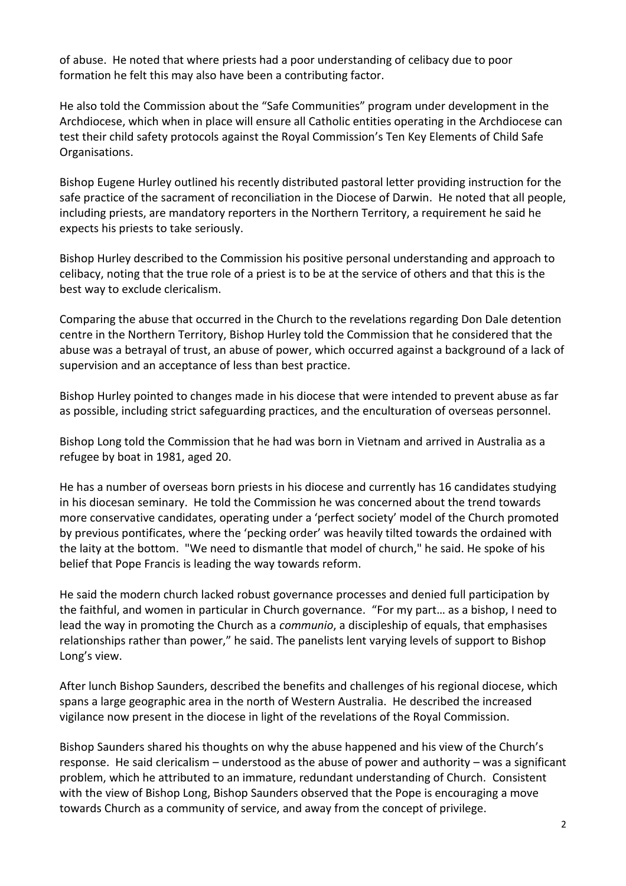of abuse. He noted that where priests had a poor understanding of celibacy due to poor formation he felt this may also have been a contributing factor.

He also told the Commission about the "Safe Communities" program under development in the Archdiocese, which when in place will ensure all Catholic entities operating in the Archdiocese can test their child safety protocols against the Royal Commission's Ten Key Elements of Child Safe Organisations.

Bishop Eugene Hurley outlined his recently distributed pastoral letter providing instruction for the safe practice of the sacrament of reconciliation in the Diocese of Darwin. He noted that all people, including priests, are mandatory reporters in the Northern Territory, a requirement he said he expects his priests to take seriously.

Bishop Hurley described to the Commission his positive personal understanding and approach to celibacy, noting that the true role of a priest is to be at the service of others and that this is the best way to exclude clericalism.

Comparing the abuse that occurred in the Church to the revelations regarding Don Dale detention centre in the Northern Territory, Bishop Hurley told the Commission that he considered that the abuse was a betrayal of trust, an abuse of power, which occurred against a background of a lack of supervision and an acceptance of less than best practice.

Bishop Hurley pointed to changes made in his diocese that were intended to prevent abuse as far as possible, including strict safeguarding practices, and the enculturation of overseas personnel.

Bishop Long told the Commission that he had was born in Vietnam and arrived in Australia as a refugee by boat in 1981, aged 20.

He has a number of overseas born priests in his diocese and currently has 16 candidates studying in his diocesan seminary. He told the Commission he was concerned about the trend towards more conservative candidates, operating under a 'perfect society' model of the Church promoted by previous pontificates, where the 'pecking order' was heavily tilted towards the ordained with the laity at the bottom. "We need to dismantle that model of church," he said. He spoke of his belief that Pope Francis is leading the way towards reform.

He said the modern church lacked robust governance processes and denied full participation by the faithful, and women in particular in Church governance. "For my part… as a bishop, I need to lead the way in promoting the Church as a *communio*, a discipleship of equals, that emphasises relationships rather than power," he said. The panelists lent varying levels of support to Bishop Long's view.

After lunch Bishop Saunders, described the benefits and challenges of his regional diocese, which spans a large geographic area in the north of Western Australia. He described the increased vigilance now present in the diocese in light of the revelations of the Royal Commission.

Bishop Saunders shared his thoughts on why the abuse happened and his view of the Church's response. He said clericalism – understood as the abuse of power and authority – was a significant problem, which he attributed to an immature, redundant understanding of Church. Consistent with the view of Bishop Long, Bishop Saunders observed that the Pope is encouraging a move towards Church as a community of service, and away from the concept of privilege.